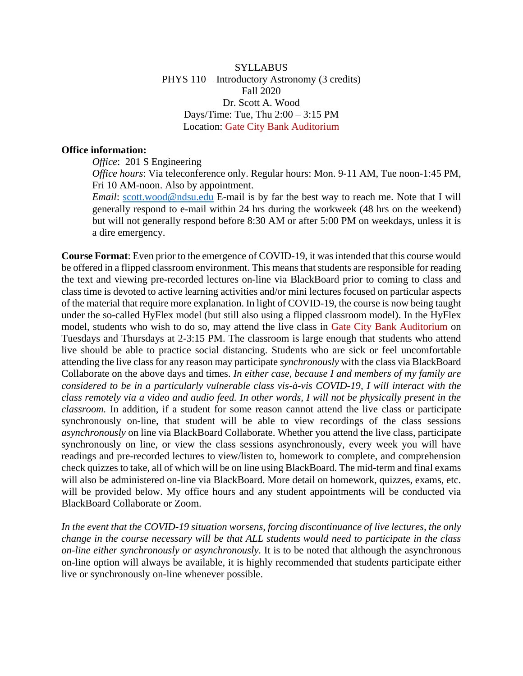**SYLLABUS** PHYS 110 – Introductory Astronomy (3 credits) Fall 2020 Dr. Scott A. Wood Days/Time: Tue, Thu 2:00 – 3:15 PM Location: Gate City Bank Auditorium

#### **Office information:**

*Office*: 201 S Engineering

*Office hours*: Via teleconference only. Regular hours: Mon. 9-11 AM, Tue noon-1:45 PM, Fri 10 AM-noon. Also by appointment.

*Email*: [scott.wood@ndsu.edu](mailto:scott.wood@ndsu.edu) E-mail is by far the best way to reach me. Note that I will generally respond to e-mail within 24 hrs during the workweek (48 hrs on the weekend) but will not generally respond before 8:30 AM or after 5:00 PM on weekdays, unless it is a dire emergency.

**Course Format**: Even prior to the emergence of COVID-19, it was intended that this course would be offered in a flipped classroom environment. This means that students are responsible for reading the text and viewing pre-recorded lectures on-line via BlackBoard prior to coming to class and class time is devoted to active learning activities and/or mini lectures focused on particular aspects of the material that require more explanation. In light of COVID-19, the course is now being taught under the so-called HyFlex model (but still also using a flipped classroom model). In the HyFlex model, students who wish to do so, may attend the live class in Gate City Bank Auditorium on Tuesdays and Thursdays at 2-3:15 PM. The classroom is large enough that students who attend live should be able to practice social distancing. Students who are sick or feel uncomfortable attending the live class for any reason may participate *synchronously* with the class via BlackBoard Collaborate on the above days and times. *In either case, because I and members of my family are considered to be in a particularly vulnerable class vis-à-vis COVID-19, I will interact with the class remotely via a video and audio feed. In other words, I will not be physically present in the classroom.* In addition, if a student for some reason cannot attend the live class or participate synchronously on-line, that student will be able to view recordings of the class sessions *asynchronously* on line via BlackBoard Collaborate. Whether you attend the live class, participate synchronously on line, or view the class sessions asynchronously, every week you will have readings and pre-recorded lectures to view/listen to, homework to complete, and comprehension check quizzes to take, all of which will be on line using BlackBoard. The mid-term and final exams will also be administered on-line via BlackBoard. More detail on homework, quizzes, exams, etc. will be provided below. My office hours and any student appointments will be conducted via BlackBoard Collaborate or Zoom.

*In the event that the COVID-19 situation worsens, forcing discontinuance of live lectures, the only change in the course necessary will be that ALL students would need to participate in the class on-line either synchronously or asynchronously.* It is to be noted that although the asynchronous on-line option will always be available, it is highly recommended that students participate either live or synchronously on-line whenever possible.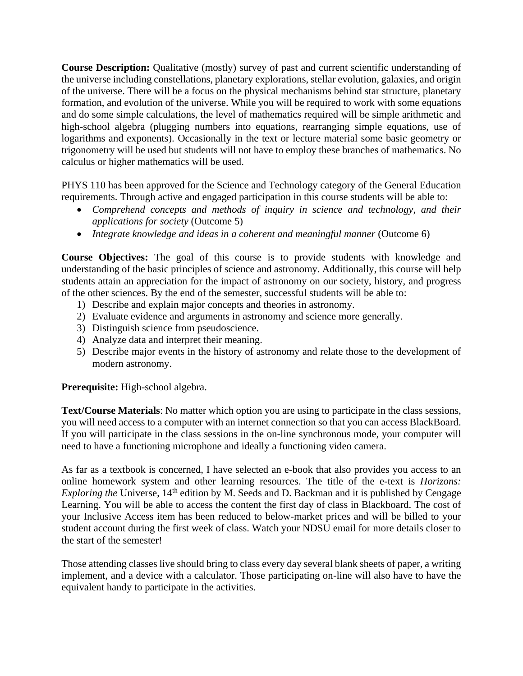**Course Description:** Qualitative (mostly) survey of past and current scientific understanding of the universe including constellations, planetary explorations, stellar evolution, galaxies, and origin of the universe. There will be a focus on the physical mechanisms behind star structure, planetary formation, and evolution of the universe. While you will be required to work with some equations and do some simple calculations, the level of mathematics required will be simple arithmetic and high-school algebra (plugging numbers into equations, rearranging simple equations, use of logarithms and exponents). Occasionally in the text or lecture material some basic geometry or trigonometry will be used but students will not have to employ these branches of mathematics. No calculus or higher mathematics will be used.

PHYS 110 has been approved for the Science and Technology category of the General Education requirements. Through active and engaged participation in this course students will be able to:

- *Comprehend concepts and methods of inquiry in science and technology, and their applications for society* (Outcome 5)
- *Integrate knowledge and ideas in a coherent and meaningful manner* (Outcome 6)

**Course Objectives:** The goal of this course is to provide students with knowledge and understanding of the basic principles of science and astronomy. Additionally, this course will help students attain an appreciation for the impact of astronomy on our society, history, and progress of the other sciences. By the end of the semester, successful students will be able to:

- 1) Describe and explain major concepts and theories in astronomy.
- 2) Evaluate evidence and arguments in astronomy and science more generally.
- 3) Distinguish science from pseudoscience.
- 4) Analyze data and interpret their meaning.
- 5) Describe major events in the history of astronomy and relate those to the development of modern astronomy.

**Prerequisite:** High-school algebra.

**Text/Course Materials**: No matter which option you are using to participate in the class sessions, you will need access to a computer with an internet connection so that you can access BlackBoard. If you will participate in the class sessions in the on-line synchronous mode, your computer will need to have a functioning microphone and ideally a functioning video camera.

As far as a textbook is concerned, I have selected an e-book that also provides you access to an online homework system and other learning resources. The title of the e-text is *Horizons: Exploring the* Universe, 14<sup>th</sup> edition by M. Seeds and D. Backman and it is published by Cengage Learning. You will be able to access the content the first day of class in Blackboard. The cost of your Inclusive Access item has been reduced to below-market prices and will be billed to your student account during the first week of class. Watch your NDSU email for more details closer to the start of the semester!

Those attending classes live should bring to class every day several blank sheets of paper, a writing implement, and a device with a calculator. Those participating on-line will also have to have the equivalent handy to participate in the activities.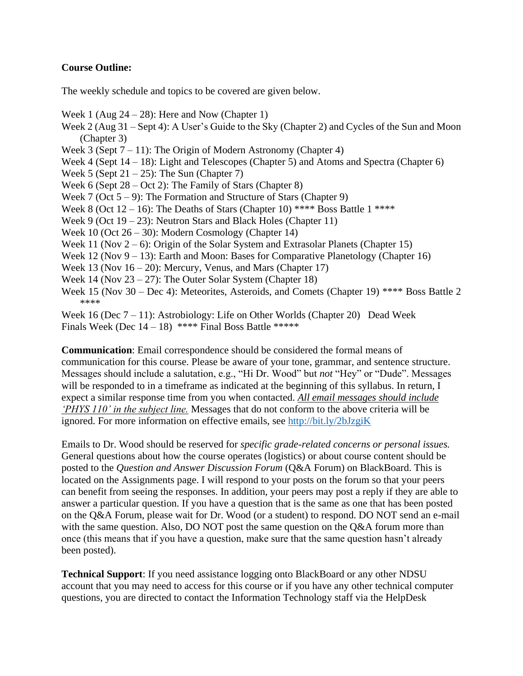## **Course Outline:**

The weekly schedule and topics to be covered are given below.

- Week 1 (Aug  $24 28$ ): Here and Now (Chapter 1)
- Week 2 (Aug 31 Sept 4): A User's Guide to the Sky (Chapter 2) and Cycles of the Sun and Moon (Chapter 3)
- Week 3 (Sept  $7 11$ ): The Origin of Modern Astronomy (Chapter 4)
- Week 4 (Sept  $14 18$ ): Light and Telescopes (Chapter 5) and Atoms and Spectra (Chapter 6)
- Week 5 (Sept  $21 25$ ): The Sun (Chapter 7)
- Week 6 (Sept 28 Oct 2): The Family of Stars (Chapter 8)
- Week 7 (Oct  $5 9$ ): The Formation and Structure of Stars (Chapter 9)
- Week 8 (Oct  $12 16$ ): The Deaths of Stars (Chapter 10) \*\*\*\* Boss Battle 1 \*\*\*\*
- Week 9 (Oct 19 23): Neutron Stars and Black Holes (Chapter 11)
- Week 10 (Oct 26 30): Modern Cosmology (Chapter 14)
- Week 11 (Nov  $2 6$ ): Origin of the Solar System and Extrasolar Planets (Chapter 15)
- Week 12 (Nov  $9 13$ ): Earth and Moon: Bases for Comparative Planetology (Chapter 16)
- Week 13 (Nov  $16 20$ ): Mercury, Venus, and Mars (Chapter 17)
- Week 14 (Nov 23 27): The Outer Solar System (Chapter 18)
- Week 15 (Nov 30 Dec 4): Meteorites, Asteroids, and Comets (Chapter 19) \*\*\*\* Boss Battle 2 \*\*\*\*
- Week 16 (Dec  $7 11$ ): Astrobiology: Life on Other Worlds (Chapter 20) Dead Week Finals Week (Dec  $14 - 18$ ) \*\*\*\* Final Boss Battle \*\*\*\*\*

**Communication**: Email correspondence should be considered the formal means of communication for this course. Please be aware of your tone, grammar, and sentence structure. Messages should include a salutation, e.g., "Hi Dr. Wood" but *not* "Hey" or "Dude". Messages will be responded to in a timeframe as indicated at the beginning of this syllabus. In return, I expect a similar response time from you when contacted. *All email messages should include 'PHYS 110' in the subject line.* Messages that do not conform to the above criteria will be ignored. For more information on effective emails, see<http://bit.ly/2bJzgiK>

Emails to Dr. Wood should be reserved for *specific grade-related concerns or personal issues.* General questions about how the course operates (logistics) or about course content should be posted to the *Question and Answer Discussion Forum* (Q&A Forum) on BlackBoard. This is located on the Assignments page. I will respond to your posts on the forum so that your peers can benefit from seeing the responses. In addition, your peers may post a reply if they are able to answer a particular question. If you have a question that is the same as one that has been posted on the Q&A Forum, please wait for Dr. Wood (or a student) to respond. DO NOT send an e-mail with the same question. Also, DO NOT post the same question on the O&A forum more than once (this means that if you have a question, make sure that the same question hasn't already been posted).

**Technical Support**: If you need assistance logging onto BlackBoard or any other NDSU account that you may need to access for this course or if you have any other technical computer questions, you are directed to contact the Information Technology staff via the HelpDesk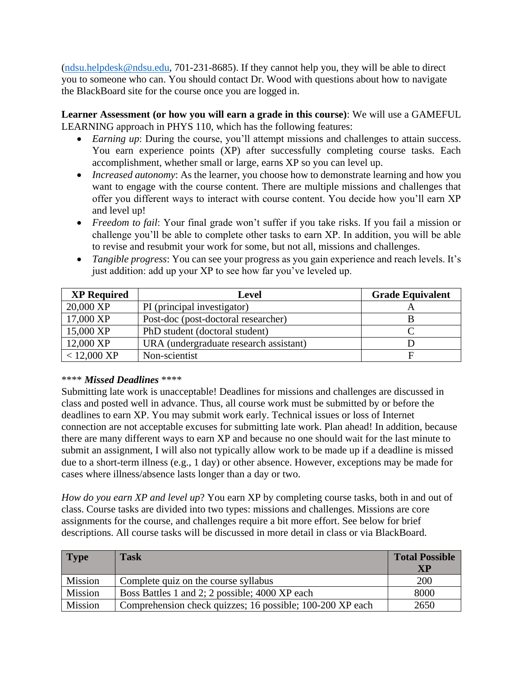[\(ndsu.helpdesk@ndsu.edu,](mailto:ndsu.helpdesk@ndsu.edu) 701-231-8685). If they cannot help you, they will be able to direct you to someone who can. You should contact Dr. Wood with questions about how to navigate the BlackBoard site for the course once you are logged in.

**Learner Assessment (or how you will earn a grade in this course)**: We will use a GAMEFUL LEARNING approach in PHYS 110, which has the following features:

- *Earning up*: During the course, you'll attempt missions and challenges to attain success. You earn experience points (XP) after successfully completing course tasks. Each accomplishment, whether small or large, earns XP so you can level up.
- *Increased autonomy*: As the learner, you choose how to demonstrate learning and how you want to engage with the course content. There are multiple missions and challenges that offer you different ways to interact with course content. You decide how you'll earn XP and level up!
- *Freedom to fail*: Your final grade won't suffer if you take risks. If you fail a mission or challenge you'll be able to complete other tasks to earn XP. In addition, you will be able to revise and resubmit your work for some, but not all, missions and challenges.
- *Tangible progress*: You can see your progress as you gain experience and reach levels. It's just addition: add up your XP to see how far you've leveled up.

| <b>XP Required</b>    | <b>Level</b>                           | <b>Grade Equivalent</b> |
|-----------------------|----------------------------------------|-------------------------|
| 20,000 XP             | PI (principal investigator)            |                         |
| 17,000 XP             | Post-doc (post-doctoral researcher)    |                         |
| 15,000 XP             | PhD student (doctoral student)         |                         |
| 12,000 XP             | URA (undergraduate research assistant) |                         |
| $< 12,000 \text{ XP}$ | Non-scientist                          |                         |

## \*\*\*\* *Missed Deadlines* \*\*\*\*

Submitting late work is unacceptable! Deadlines for missions and challenges are discussed in class and posted well in advance. Thus, all course work must be submitted by or before the deadlines to earn XP. You may submit work early. Technical issues or loss of Internet connection are not acceptable excuses for submitting late work. Plan ahead! In addition, because there are many different ways to earn XP and because no one should wait for the last minute to submit an assignment, I will also not typically allow work to be made up if a deadline is missed due to a short-term illness (e.g., 1 day) or other absence. However, exceptions may be made for cases where illness/absence lasts longer than a day or two.

*How do you earn XP and level up*? You earn XP by completing course tasks, both in and out of class. Course tasks are divided into two types: missions and challenges. Missions are core assignments for the course, and challenges require a bit more effort. See below for brief descriptions. All course tasks will be discussed in more detail in class or via BlackBoard.

| Type    | <b>Task</b>                                               | <b>Total Possible</b><br>XP |
|---------|-----------------------------------------------------------|-----------------------------|
| Mission | Complete quiz on the course syllabus                      | 200                         |
| Mission | Boss Battles 1 and 2; 2 possible; 4000 XP each            | 8000                        |
| Mission | Comprehension check quizzes; 16 possible; 100-200 XP each | 2650                        |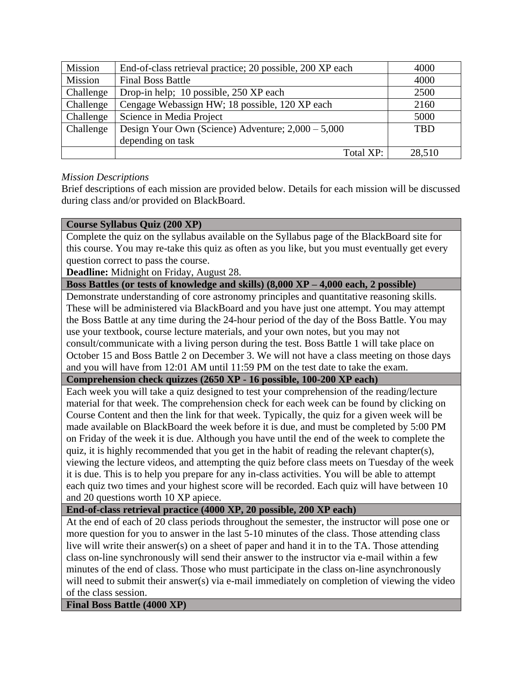| Mission   | End-of-class retrieval practice; 20 possible, 200 XP each | 4000       |
|-----------|-----------------------------------------------------------|------------|
| Mission   | <b>Final Boss Battle</b>                                  | 4000       |
| Challenge | Drop-in help; 10 possible, 250 XP each                    | 2500       |
| Challenge | Cengage Webassign HW; 18 possible, 120 XP each            | 2160       |
| Challenge | Science in Media Project                                  | 5000       |
| Challenge | Design Your Own (Science) Adventure; $2,000 - 5,000$      | <b>TBD</b> |
|           | depending on task                                         |            |
|           | Total XP:                                                 | 28,510     |

## *Mission Descriptions*

Brief descriptions of each mission are provided below. Details for each mission will be discussed during class and/or provided on BlackBoard.

#### **Course Syllabus Quiz (200 XP)**

Complete the quiz on the syllabus available on the Syllabus page of the BlackBoard site for this course. You may re-take this quiz as often as you like, but you must eventually get every question correct to pass the course.

**Deadline:** Midnight on Friday, August 28.

**Boss Battles (or tests of knowledge and skills) (8,000 XP – 4,000 each, 2 possible)**

Demonstrate understanding of core astronomy principles and quantitative reasoning skills. These will be administered via BlackBoard and you have just one attempt. You may attempt the Boss Battle at any time during the 24-hour period of the day of the Boss Battle. You may use your textbook, course lecture materials, and your own notes, but you may not consult/communicate with a living person during the test. Boss Battle 1 will take place on October 15 and Boss Battle 2 on December 3. We will not have a class meeting on those days and you will have from 12:01 AM until 11:59 PM on the test date to take the exam.

**Comprehension check quizzes (2650 XP - 16 possible, 100-200 XP each)**

Each week you will take a quiz designed to test your comprehension of the reading/lecture material for that week. The comprehension check for each week can be found by clicking on Course Content and then the link for that week. Typically, the quiz for a given week will be made available on BlackBoard the week before it is due, and must be completed by 5:00 PM on Friday of the week it is due. Although you have until the end of the week to complete the quiz, it is highly recommended that you get in the habit of reading the relevant chapter(s), viewing the lecture videos, and attempting the quiz before class meets on Tuesday of the week it is due. This is to help you prepare for any in-class activities. You will be able to attempt each quiz two times and your highest score will be recorded. Each quiz will have between 10 and 20 questions worth 10 XP apiece.

## **End-of-class retrieval practice (4000 XP, 20 possible, 200 XP each)**

At the end of each of 20 class periods throughout the semester, the instructor will pose one or more question for you to answer in the last 5-10 minutes of the class. Those attending class live will write their answer(s) on a sheet of paper and hand it in to the TA. Those attending class on-line synchronously will send their answer to the instructor via e-mail within a few minutes of the end of class. Those who must participate in the class on-line asynchronously will need to submit their answer(s) via e-mail immediately on completion of viewing the video of the class session.

**Final Boss Battle (4000 XP)**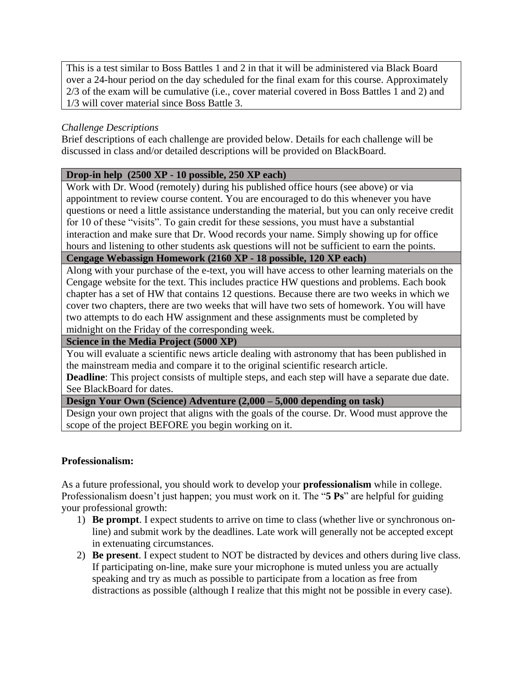This is a test similar to Boss Battles 1 and 2 in that it will be administered via Black Board over a 24-hour period on the day scheduled for the final exam for this course. Approximately 2/3 of the exam will be cumulative (i.e., cover material covered in Boss Battles 1 and 2) and 1/3 will cover material since Boss Battle 3.

# *Challenge Descriptions*

Brief descriptions of each challenge are provided below. Details for each challenge will be discussed in class and/or detailed descriptions will be provided on BlackBoard.

## **Drop-in help (2500 XP - 10 possible, 250 XP each)**

Work with Dr. Wood (remotely) during his published office hours (see above) or via appointment to review course content. You are encouraged to do this whenever you have questions or need a little assistance understanding the material, but you can only receive credit for 10 of these "visits". To gain credit for these sessions, you must have a substantial interaction and make sure that Dr. Wood records your name. Simply showing up for office hours and listening to other students ask questions will not be sufficient to earn the points.

**Cengage Webassign Homework (2160 XP - 18 possible, 120 XP each)**

Along with your purchase of the e-text, you will have access to other learning materials on the Cengage website for the text. This includes practice HW questions and problems. Each book chapter has a set of HW that contains 12 questions. Because there are two weeks in which we cover two chapters, there are two weeks that will have two sets of homework. You will have two attempts to do each HW assignment and these assignments must be completed by midnight on the Friday of the corresponding week.

**Science in the Media Project (5000 XP)**

You will evaluate a scientific news article dealing with astronomy that has been published in the mainstream media and compare it to the original scientific research article.

**Deadline**: This project consists of multiple steps, and each step will have a separate due date. See BlackBoard for dates.

## **Design Your Own (Science) Adventure (2,000 – 5,000 depending on task)**

Design your own project that aligns with the goals of the course. Dr. Wood must approve the scope of the project BEFORE you begin working on it.

## **Professionalism:**

As a future professional, you should work to develop your **professionalism** while in college. Professionalism doesn't just happen; you must work on it. The "**5 Ps**" are helpful for guiding your professional growth:

- 1) **Be prompt**. I expect students to arrive on time to class (whether live or synchronous online) and submit work by the deadlines. Late work will generally not be accepted except in extenuating circumstances.
- 2) **Be present**. I expect student to NOT be distracted by devices and others during live class. If participating on-line, make sure your microphone is muted unless you are actually speaking and try as much as possible to participate from a location as free from distractions as possible (although I realize that this might not be possible in every case).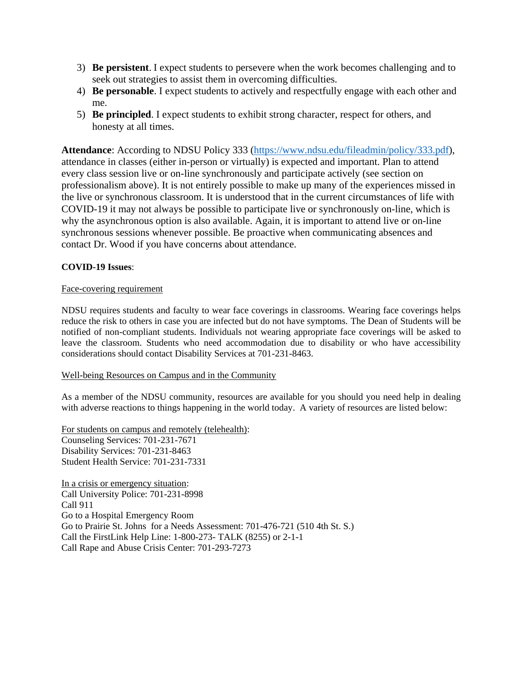- 3) **Be persistent**. I expect students to persevere when the work becomes challenging and to seek out strategies to assist them in overcoming difficulties.
- 4) **Be personable**. I expect students to actively and respectfully engage with each other and me.
- 5) **Be principled**. I expect students to exhibit strong character, respect for others, and honesty at all times.

**Attendance**: According to NDSU Policy 333 [\(https://www.ndsu.edu/fileadmin/policy/333.pdf\)](https://www.ndsu.edu/fileadmin/policy/333.pdf), attendance in classes (either in-person or virtually) is expected and important. Plan to attend every class session live or on-line synchronously and participate actively (see section on professionalism above). It is not entirely possible to make up many of the experiences missed in the live or synchronous classroom. It is understood that in the current circumstances of life with COVID-19 it may not always be possible to participate live or synchronously on-line, which is why the asynchronous option is also available. Again, it is important to attend live or on-line synchronous sessions whenever possible. Be proactive when communicating absences and contact Dr. Wood if you have concerns about attendance.

#### **COVID-19 Issues**:

#### Face-covering requirement

NDSU requires students and faculty to wear face coverings in classrooms. Wearing face coverings helps reduce the risk to others in case you are infected but do not have symptoms. The Dean of Students will be notified of non-compliant students. Individuals not wearing appropriate face coverings will be asked to leave the classroom. Students who need accommodation due to disability or who have accessibility considerations should contact Disability Services at 701-231-8463.

#### Well-being Resources on Campus and in the Community

As a member of the NDSU community, resources are available for you should you need help in dealing with adverse reactions to things happening in the world today. A variety of resources are listed below:

For students on campus and remotely (telehealth): Counseling Services: 701-231-7671 Disability Services: 701-231-8463 Student Health Service: 701-231-7331

In a crisis or emergency situation: Call University Police: 701-231-8998 Call 911 Go to a Hospital Emergency Room Go to Prairie St. Johns for a Needs Assessment: 701-476-721 (510 4th St. S.) Call the FirstLink Help Line: 1-800-273- TALK (8255) or 2-1-1 Call Rape and Abuse Crisis Center: 701-293-7273